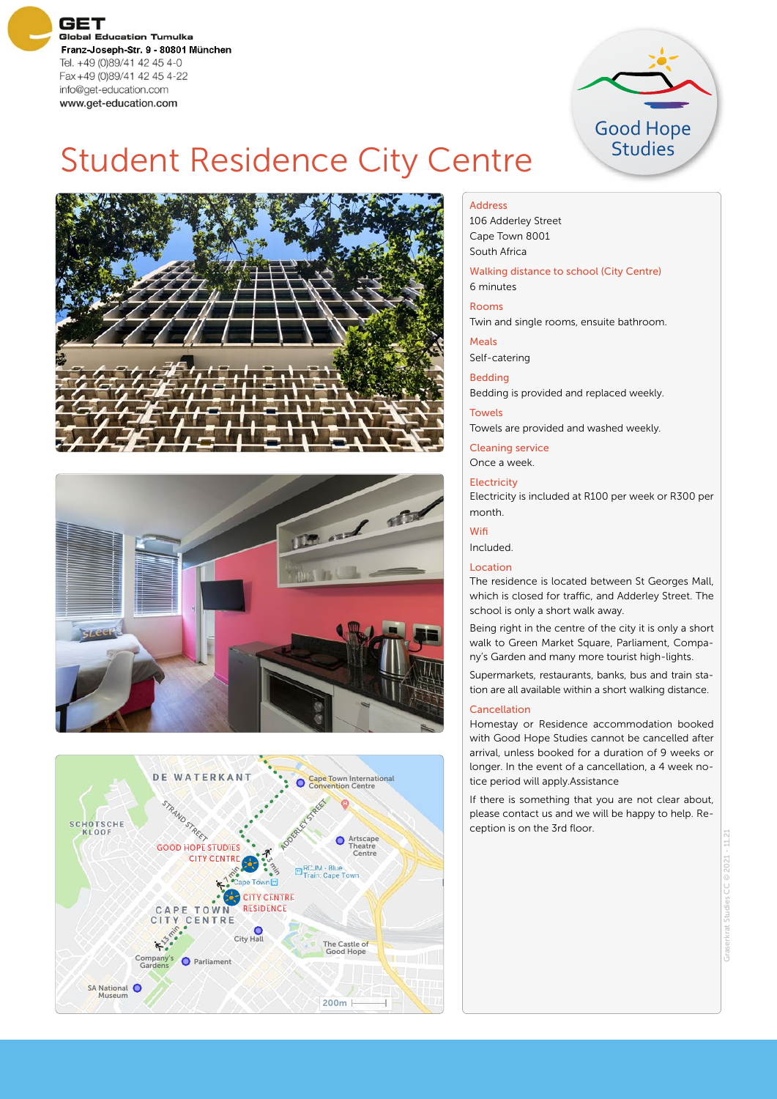**GET Global Education Tumulka** Franz-Joseph-Str. 9 - 80801 München Tel. +49 (0)89/41 42 45 4-0 Fax +49 (0)89/41 42 45 4-22 info@get-education.com www.get-education.com



## Student Residence City Centre







#### Address

106 Adderley Street Cape Town 8001 South Africa

#### Walking distance to school (City Centre) 6 minutes

Rooms

Twin and single rooms, ensuite bathroom.

Meals

Self-catering

### Bedding

Bedding is provided and replaced weekly.

**Towels** 

Towels are provided and washed weekly.

Cleaning service Once a week.

**Electricity** 

Electricity is included at R100 per week or R300 per month.

Wifi

Included.

#### Location

The residence is located between St Georges Mall, which is closed for traffic, and Adderley Street. The school is only a short walk away.

Being right in the centre of the city it is only a short walk to Green Market Square, Parliament, Company's Garden and many more tourist high-lights.

Supermarkets, restaurants, banks, bus and train station are all available within a short walking distance.

#### Cancellation

Homestay or Residence accommodation booked with Good Hope Studies cannot be cancelled after arrival, unless booked for a duration of 9 weeks or longer. In the event of a cancellation, a 4 week notice period will apply.Assistance

If there is something that you are not clear about, please contact us and we will be happy to help. Reception is on the 3rd floor.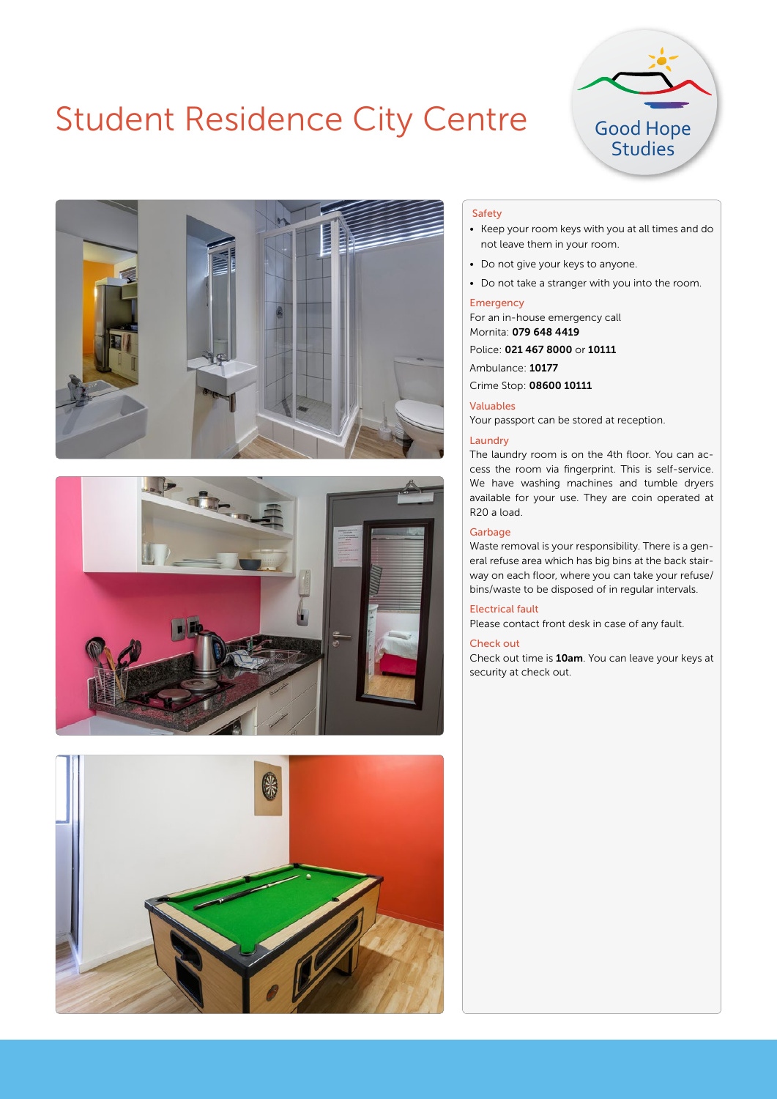## Student Residence City Centre









#### Safety

- Keep your room keys with you at all times and do not leave them in your room.
- Do not give your keys to anyone.
- Do not take a stranger with you into the room.

#### Emergency

For an in-house emergency call Mornita: 079 648 4419

#### Police: 021 467 8000 or 10111

Ambulance: 10177

Crime Stop: 08600 10111

#### Valuables

Your passport can be stored at reception.

#### Laundry

The laundry room is on the 4th floor. You can access the room via fingerprint. This is self-service. We have washing machines and tumble dryers available for your use. They are coin operated at R20 a load.

#### **Garbage**

Waste removal is your responsibility. There is a general refuse area which has big bins at the back stairway on each floor, where you can take your refuse/ bins/waste to be disposed of in regular intervals.

#### Electrical fault

Please contact front desk in case of any fault.

#### Check out

Check out time is 10am. You can leave your keys at security at check out.